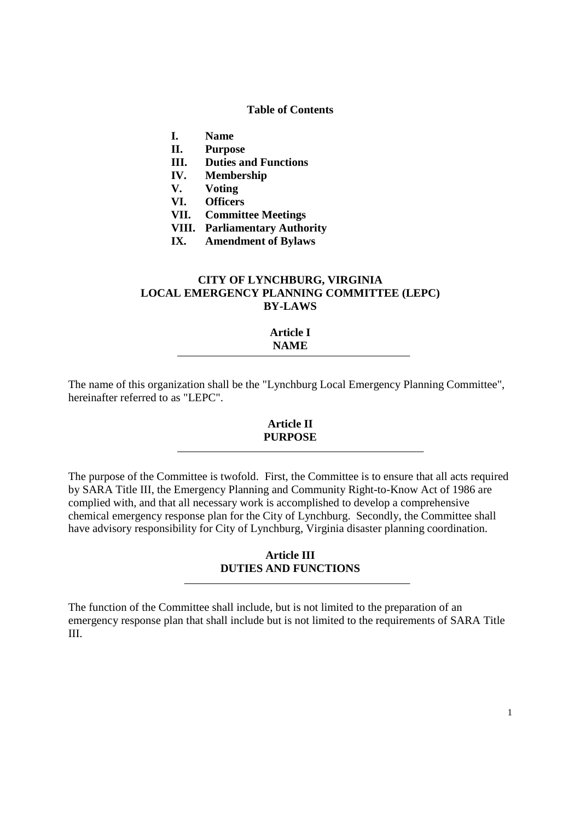## **Table of Contents**

- **I. Name**
- **II. Purpose**
- **III. Duties and Functions**
- **IV. Membership**
- **V. Voting**
- **VI. Officers**
- **VII. Committee Meetings**
- **VIII. Parliamentary Authority**
- **IX. Amendment of Bylaws**

# **CITY OF LYNCHBURG, VIRGINIA LOCAL EMERGENCY PLANNING COMMITTEE (LEPC) BY-LAWS**

# **Article I NAME**

The name of this organization shall be the "Lynchburg Local Emergency Planning Committee", hereinafter referred to as "LEPC".

### **Article II PURPOSE**

The purpose of the Committee is twofold. First, the Committee is to ensure that all acts required by SARA Title III, the Emergency Planning and Community Right-to-Know Act of 1986 are complied with, and that all necessary work is accomplished to develop a comprehensive chemical emergency response plan for the City of Lynchburg. Secondly, the Committee shall have advisory responsibility for City of Lynchburg, Virginia disaster planning coordination.

## **Article III DUTIES AND FUNCTIONS**

The function of the Committee shall include, but is not limited to the preparation of an emergency response plan that shall include but is not limited to the requirements of SARA Title III.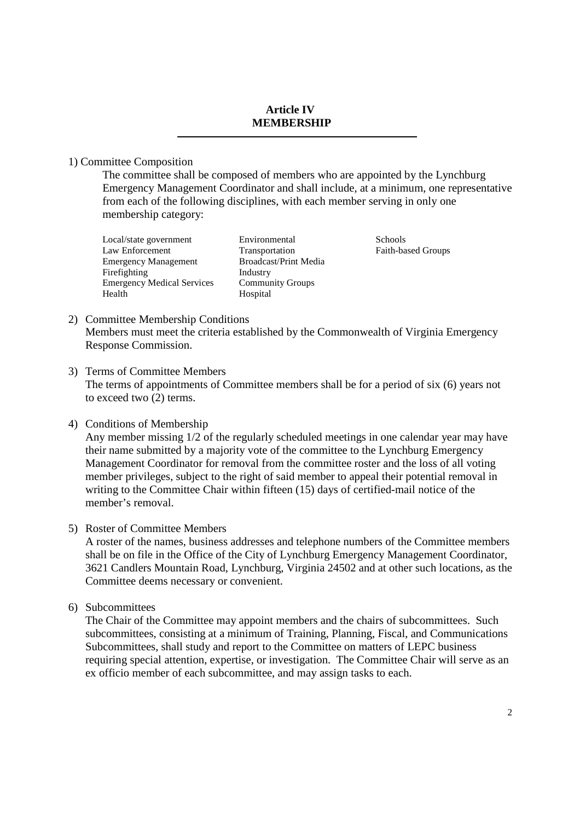#### **Article IV MEMBERSHIP**

1) Committee Composition

The committee shall be composed of members who are appointed by the Lynchburg Emergency Management Coordinator and shall include, at a minimum, one representative from each of the following disciplines, with each member serving in only one membership category:

Local/state government Environmental Schools Law Enforcement Transportation Faith-based Groups Emergency Management Broadcast/Print Media Firefighting Industry<br>
Emergency Medical Services Community Groups Emergency Medical Services Health Hospital

- 2) Committee Membership Conditions Members must meet the criteria established by the Commonwealth of Virginia Emergency Response Commission.
- 3) Terms of Committee Members The terms of appointments of Committee members shall be for a period of six (6) years not to exceed two (2) terms.
- 4) Conditions of Membership

Any member missing 1/2 of the regularly scheduled meetings in one calendar year may have their name submitted by a majority vote of the committee to the Lynchburg Emergency Management Coordinator for removal from the committee roster and the loss of all voting member privileges, subject to the right of said member to appeal their potential removal in writing to the Committee Chair within fifteen (15) days of certified-mail notice of the member's removal.

5) Roster of Committee Members

A roster of the names, business addresses and telephone numbers of the Committee members shall be on file in the Office of the City of Lynchburg Emergency Management Coordinator, 3621 Candlers Mountain Road, Lynchburg, Virginia 24502 and at other such locations, as the Committee deems necessary or convenient.

6) Subcommittees

The Chair of the Committee may appoint members and the chairs of subcommittees. Such subcommittees, consisting at a minimum of Training, Planning, Fiscal, and Communications Subcommittees, shall study and report to the Committee on matters of LEPC business requiring special attention, expertise, or investigation. The Committee Chair will serve as an ex officio member of each subcommittee, and may assign tasks to each.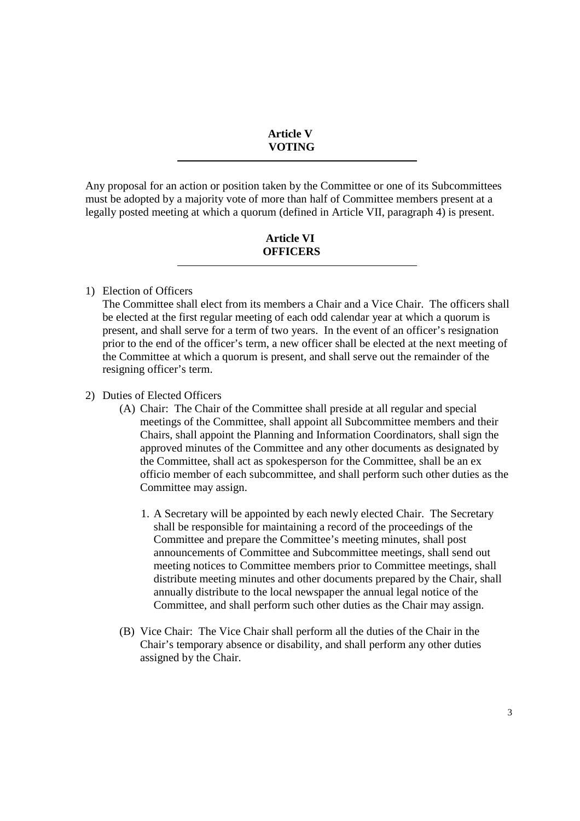#### **Article V VOTING**

Any proposal for an action or position taken by the Committee or one of its Subcommittees must be adopted by a majority vote of more than half of Committee members present at a legally posted meeting at which a quorum (defined in Article VII, paragraph 4) is present.

## **Article VI OFFICERS**

## 1) Election of Officers

The Committee shall elect from its members a Chair and a Vice Chair. The officers shall be elected at the first regular meeting of each odd calendar year at which a quorum is present, and shall serve for a term of two years. In the event of an officer's resignation prior to the end of the officer's term, a new officer shall be elected at the next meeting of the Committee at which a quorum is present, and shall serve out the remainder of the resigning officer's term.

### 2) Duties of Elected Officers

- (A) Chair: The Chair of the Committee shall preside at all regular and special meetings of the Committee, shall appoint all Subcommittee members and their Chairs, shall appoint the Planning and Information Coordinators, shall sign the approved minutes of the Committee and any other documents as designated by the Committee, shall act as spokesperson for the Committee, shall be an ex officio member of each subcommittee, and shall perform such other duties as the Committee may assign.
	- 1. A Secretary will be appointed by each newly elected Chair. The Secretary shall be responsible for maintaining a record of the proceedings of the Committee and prepare the Committee's meeting minutes, shall post announcements of Committee and Subcommittee meetings, shall send out meeting notices to Committee members prior to Committee meetings, shall distribute meeting minutes and other documents prepared by the Chair, shall annually distribute to the local newspaper the annual legal notice of the Committee, and shall perform such other duties as the Chair may assign.
- (B) Vice Chair: The Vice Chair shall perform all the duties of the Chair in the Chair's temporary absence or disability, and shall perform any other duties assigned by the Chair.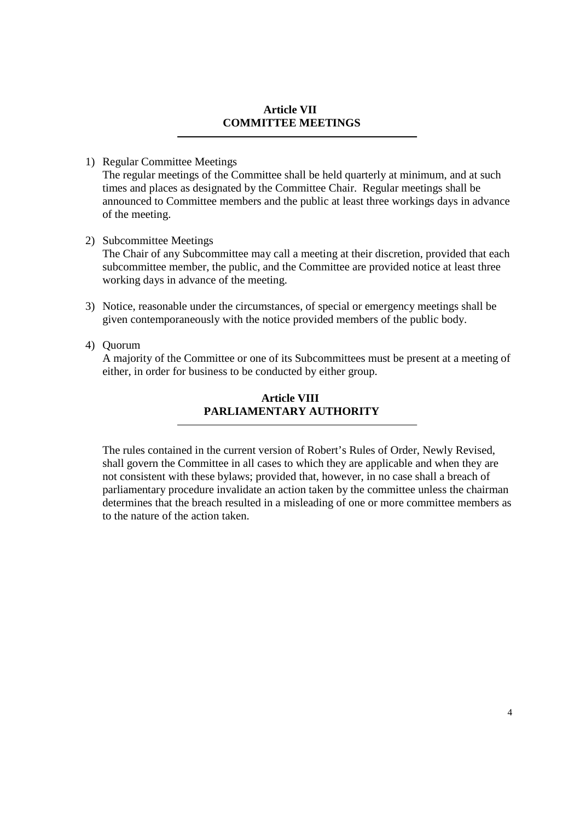#### **Article VII COMMITTEE MEETINGS**

# 1) Regular Committee Meetings

The regular meetings of the Committee shall be held quarterly at minimum, and at such times and places as designated by the Committee Chair. Regular meetings shall be announced to Committee members and the public at least three workings days in advance of the meeting.

2) Subcommittee Meetings

The Chair of any Subcommittee may call a meeting at their discretion, provided that each subcommittee member, the public, and the Committee are provided notice at least three working days in advance of the meeting.

3) Notice, reasonable under the circumstances, of special or emergency meetings shall be given contemporaneously with the notice provided members of the public body.

## 4) Quorum

A majority of the Committee or one of its Subcommittees must be present at a meeting of either, in order for business to be conducted by either group.

# **Article VIII PARLIAMENTARY AUTHORITY**

The rules contained in the current version of Robert's Rules of Order, Newly Revised, shall govern the Committee in all cases to which they are applicable and when they are not consistent with these bylaws; provided that, however, in no case shall a breach of parliamentary procedure invalidate an action taken by the committee unless the chairman determines that the breach resulted in a misleading of one or more committee members as to the nature of the action taken.